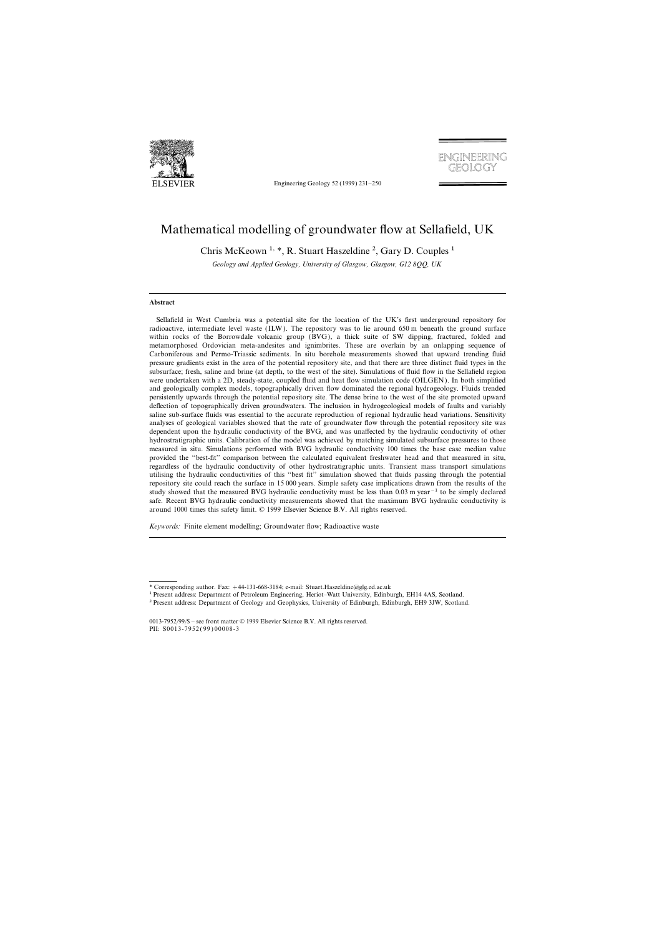

Engineering Geology 52 (1999) 231–250



# Mathematical modelling of groundwater flow at Sellafield, UK

Chris McKeown<sup>1, \*</sup>, R. Stuart Haszeldine<sup>2</sup>, Gary D. Couples<sup>1</sup>

*Geology and Applied Geology, University of Glasgow, Glasgow, G12 8QQ, UK*

## **Abstract**

Sellafield in West Cumbria was a potential site for the location of the UK's first underground repository for radioactive, intermediate level waste (ILW ). The repository was to lie around 650 m beneath the ground surface within rocks of the Borrowdale volcanic group (BVG), a thick suite of SW dipping, fractured, folded and metamorphosed Ordovician meta-andesites and ignimbrites. These are overlain by an onlapping sequence of Carboniferous and Permo-Triassic sediments. In situ borehole measurements showed that upward trending fluid pressure gradients exist in the area of the potential repository site, and that there are three distinct fluid types in the subsurface; fresh, saline and brine (at depth, to the west of the site). Simulations of fluid flow in the Sellafield region were undertaken with a 2D, steady-state, coupled fluid and heat flow simulation code (OILGEN ). In both simplified and geologically complex models, topographically driven flow dominated the regional hydrogeology. Fluids trended persistently upwards through the potential repository site. The dense brine to the west of the site promoted upward deflection of topographically driven groundwaters. The inclusion in hydrogeological models of faults and variably saline sub-surface fluids was essential to the accurate reproduction of regional hydraulic head variations. Sensitivity analyses of geological variables showed that the rate of groundwater flow through the potential repository site was dependent upon the hydraulic conductivity of the BVG, and was unaffected by the hydraulic conductivity of other hydrostratigraphic units. Calibration of the model was achieved by matching simulated subsurface pressures to those measured in situ. Simulations performed with BVG hydraulic conductivity 100 times the base case median value provided the ''best-fit'' comparison between the calculated equivalent freshwater head and that measured in situ, regardless of the hydraulic conductivity of other hydrostratigraphic units. Transient mass transport simulations utilising the hydraulic conductivities of this ''best fit'' simulation showed that fluids passing through the potential repository site could reach the surface in 15 000 years. Simple safety case implications drawn from the results of the study showed that the measured BVG hydraulic conductivity must be less than 0.03 m year<sup>-1</sup> to be simply declared safe. Recent BVG hydraulic conductivity measurements showed that the maximum BVG hydraulic conductivity is around 1000 times this safety limit. © 1999 Elsevier Science B.V. All rights reserved.

*Keywords:* Finite element modelling; Groundwater flow; Radioactive waste

<sup>\*</sup> Corresponding author. Fax: +44-131-668-3184; e-mail: Stuart.Haszeldine@glg.ed.ac.uk

<sup>1</sup> Present address: Department of Petroleum Engineering, Heriot–Watt University, Edinburgh, EH14 4AS, Scotland.

<sup>2</sup> Present address: Department of Geology and Geophysics, University of Edinburgh, Edinburgh, EH9 3JW, Scotland.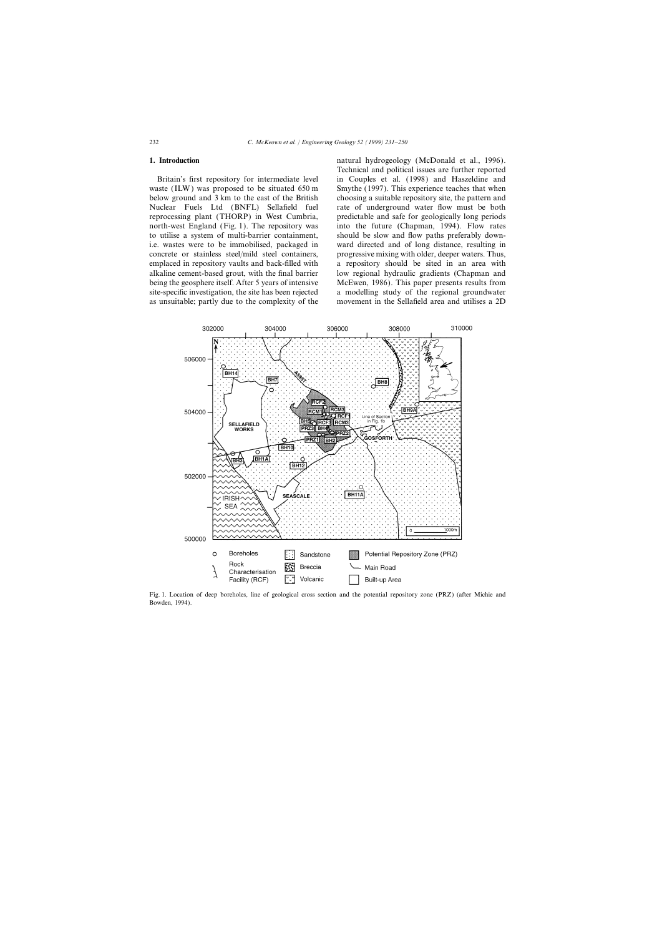**1. Introduction 1. Introduction 1. Introduction natural hydrogeology (McDonald et al., 1996).** Technical and political issues are further reported Britain's first repository for intermediate level in Couples et al. (1998) and Haszeldine and waste (ILW) was proposed to be situated 650 m Smythe (1997). This experience teaches that when below ground and 3 km to the east of the British choosing a suitable repository site, the pattern and Nuclear Fuels Ltd (BNFL) Sellafield fuel rate of underground water flow must be both reprocessing plant (THORP) in West Cumbria, predictable and safe for geologically long periods north-west England (Fig. 1). The repository was into the future (Chapman, 1994). Flow rates to utilise a system of multi-barrier containment, should be slow and flow paths preferably downi.e. wastes were to be immobilised, packaged in ward directed and of long distance, resulting in concrete or stainless steel/mild steel containers, progressive mixing with older, deeper waters. Thus, emplaced in repository vaults and back-filled with a repository should be sited in an area with alkaline cement-based grout, with the final barrier low regional hydraulic gradients (Chapman and being the geosphere itself. After 5 years of intensive McEwen, 1986). This paper presents results from site-specific investigation, the site has been rejected a modelling study of the regional groundwater as unsuitable; partly due to the complexity of the movement in the Sellafield area and utilises a 2D



Fig. 1. Location of deep boreholes, line of geological cross section and the potential repository zone (PRZ) (after Michie and Bowden, 1994).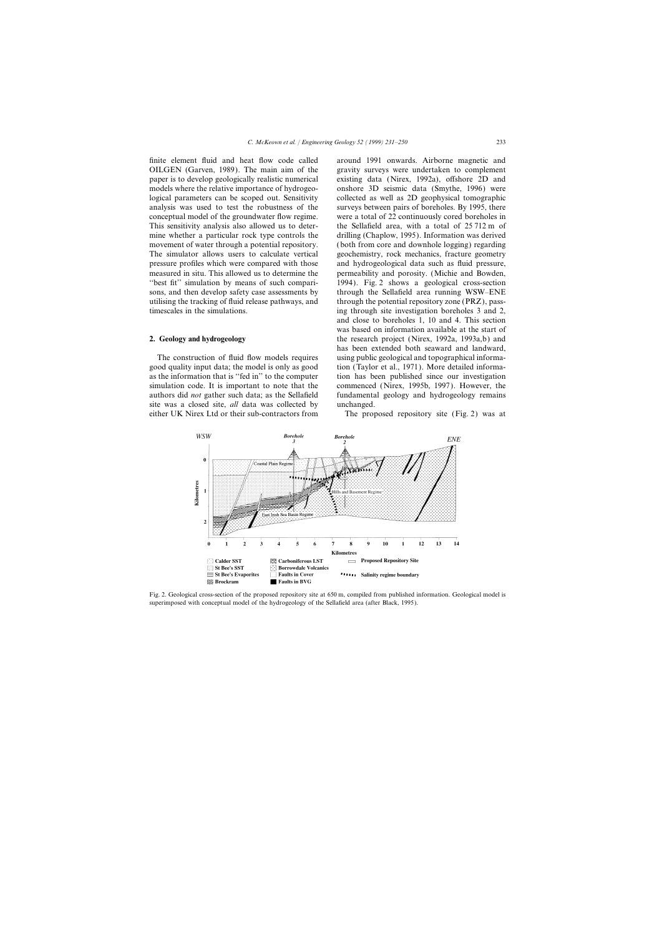finite element fluid and heat flow code called around 1991 onwards. Airborne magnetic and OILGEN (Garven, 1989). The main aim of the gravity surveys were undertaken to complement paper is to develop geologically realistic numerical existing data (Nirex, 1992a), offshore 2D and models where the relative importance of hydrogeo-<br>onshore 3D seismic data (Smythe, 1996) were logical parameters can be scoped out. Sensitivity collected as well as 2D geophysical tomographic analysis was used to test the robustness of the surveys between pairs of boreholes. By 1995, there conceptual model of the groundwater flow regime. were a total of 22 continuously cored boreholes in This sensitivity analysis also allowed us to deter-<br>the Sellafield area, with a total of 25 712 m of mine whether a particular rock type controls the drilling (Chaplow, 1995). Information was derived movement of water through a potential repository. (both from core and downhole logging) regarding The simulator allows users to calculate vertical geochemistry, rock mechanics, fracture geometry pressure profiles which were compared with those and hydrogeological data such as fluid pressure, measured in situ. This allowed us to determine the permeability and porosity. (Michie and Bowden, ''best fit'' simulation by means of such compari- 1994). Fig. 2 shows a geological cross-section sons, and then develop safety case assessments by through the Sellafield area running WSW–ENE utilising the tracking of fluid release pathways, and through the potential repository zone (PRZ), passtimescales in the simulations. ing through site investigation boreholes 3 and 2,

good quality input data; the model is only as good tion (Taylor et al., 1971). More detailed informaas the information that is ''fed in'' to the computer tion has been published since our investigation simulation code. It is important to note that the commenced (Nirex, 1995b, 1997). However, the authors did *not* gather such data; as the Sellafield fundamental geology and hydrogeology remains site was a closed site, *all* data was collected by unchanged. either UK Nirex Ltd or their sub-contractors from The proposed repository site (Fig. 2) was at

and close to boreholes 1, 10 and 4. This section was based on information available at the start of **2. Geology and hydrogeology** the research project (Nirex, 1992a, 1993a,b) and has been extended both seaward and landward, The construction of fluid flow models requires using public geological and topographical informa-



Fig. 2. Geological cross-section of the proposed repository site at 650 m, compiled from published information. Geological model is superimposed with conceptual model of the hydrogeology of the Sellafield area (after Black, 1995).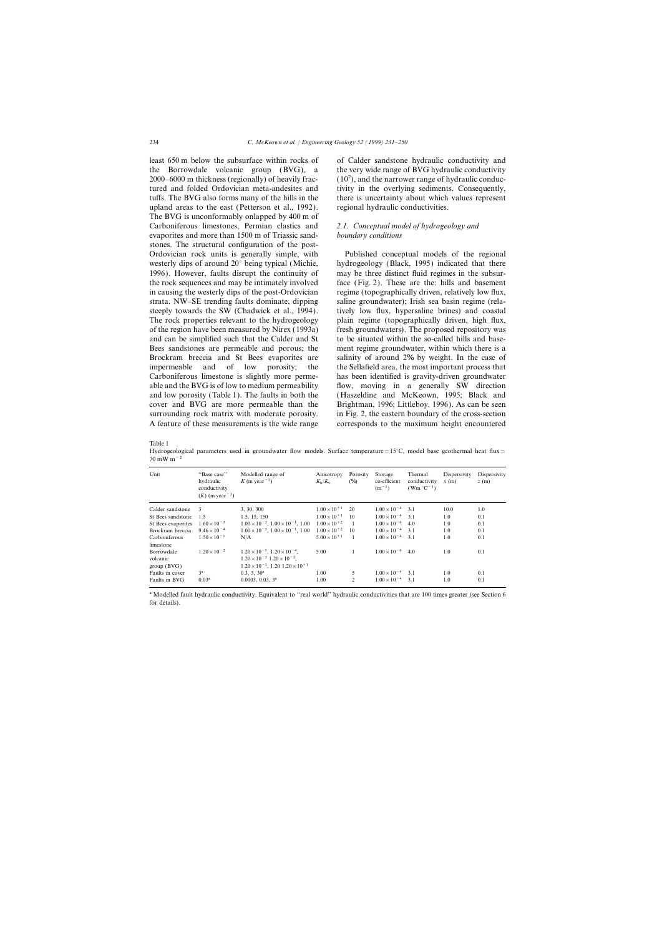the Borrowdale volcanic group (BVG), a the very wide range of BVG hydraulic conductivity 2000–6000 m thickness (regionally) of heavily frac-  $(10^7)$ , and the narrower range of hydraulic conductured and folded Ordovician meta-andesites and tivity in the overlying sediments. Consequently, tuffs. The BVG also forms many of the hills in the there is uncertainty about which values represent upland areas to the east (Petterson et al., 1992). regional hydraulic conductivities. The BVG is unconformably onlapped by 400 m of Carboniferous limestones, Permian clastics and *2.1. Conceptual model of hydrogeology and* evaporites and more than 1500 m of Triassic sand- *boundary conditions* stones. The structural configuration of the post-Ordovician rock units is generally simple, with Published conceptual models of the regional westerly dips of around 20° being typical (Michie, hydrogeology (Black, 1995) indicated that there 1996). However, faults disrupt the continuity of may be three distinct fluid regimes in the subsurthe rock sequences and may be intimately involved face (Fig. 2). These are the: hills and basement in causing the westerly dips of the post-Ordovician regime (topographically driven, relatively low flux, strata. NW–SE trending faults dominate, dipping saline groundwater); Irish sea basin regime (relasteeply towards the SW (Chadwick et al., 1994). tively low flux, hypersaline brines) and coastal The rock properties relevant to the hydrogeology plain regime (topographically driven, high flux, of the region have been measured by Nirex (1993a) fresh groundwaters). The proposed repository was and can be simplified such that the Calder and St to be situated within the so-called hills and base-Bees sandstones are permeable and porous; the ment regime groundwater, within which there is a Brockram breccia and St Bees evaporites are salinity of around 2% by weight. In the case of impermeable and of low porosity; the the Sellafield area, the most important process that Carboniferous limestone is slightly more perme-<br>able and the BVG is of low to medium permeability flow, moving in a generally SW direction able and the BVG is of low to medium permeability and low porosity (Table 1). The faults in both the (Haszeldine and McKeown, 1995; Black and cover and BVG are more permeable than the Brightman, 1996; Littleboy, 1996). As can be seen surrounding rock matrix with moderate porosity. in Fig. 2, the eastern boundary of the cross-section

least 650 m below the subsurface within rocks of of Calder sandstone hydraulic conductivity and

A feature of these measurements is the wide range corresponds to the maximum height encountered

Table 1

Hydrogeological parameters used in groundwater flow models. Surface temperature=15°C, model base geothermal heat flux= 70 mW m−2

| Unit                                 | "Base case"<br>hydraulic<br>conductivity<br>$(K)$ (m year <sup>-1</sup> ) | Modelled range of<br>K (m year <sup><math>-1</math></sup> )                                                                                            | Anisotropy<br>$K_{\rm b}/K_{\rm v}$ | Porosity<br>(%) | Storage<br>co-efficient<br>$(m^{-1})$ | Thermal<br>conductivity<br>$(Wm °C^{-1})$ | Dispersivity<br>x(m) | Dispersivity<br>z(m) |
|--------------------------------------|---------------------------------------------------------------------------|--------------------------------------------------------------------------------------------------------------------------------------------------------|-------------------------------------|-----------------|---------------------------------------|-------------------------------------------|----------------------|----------------------|
| Calder sandstone                     | $\mathcal{R}$                                                             | 3, 30, 300                                                                                                                                             | $1.00 \times 10^{-1}$               | 20              | $1.00 \times 10^{-4}$                 | 3.1                                       | 10.0                 | 1.0                  |
| St Bees sandstone                    | 1.5                                                                       | 1.5, 15, 150                                                                                                                                           | $1.00 \times 10^{+1}$               | 10              | $1.00 \times 10^{-4}$                 | 3.1                                       | 1.0                  | 0.1                  |
| St Bees evaporites                   | $1.60 \times 10^{-3}$                                                     | $1.00 \times 10^{-3}$ , $1.00 \times 10^{-1}$ , 1.00                                                                                                   | $1.00 \times 10^{+2}$               |                 | $1.00 \times 10^{-6}$                 | 4.0                                       | 1.0                  | 0.1                  |
| Brockram breccia                     | $9.46 \times 10^{-4}$                                                     | $1.00 \times 10^{-3}$ , $1.00 \times 10^{-1}$ , 1.00                                                                                                   | $1.00 \times 10^{+2}$               | 10              | $1.00 \times 10^{-4}$                 | 3.1                                       | 1.0                  | 0.1                  |
| Carboniferous<br>limestone           | $1.50 \times 10^{-1}$                                                     | N/A                                                                                                                                                    | $5.00 \times 10^{+1}$               |                 | $1.00 \times 10^{-4}$                 | 3.1                                       | 1.0                  | 0.1                  |
| Borrowdale<br>volcanic<br>group(BVG) | $1.20 \times 10^{-2}$                                                     | $1.20 \times 10^{-5}$ , $1.20 \times 10^{-4}$ ,<br>$1.20 \times 10^{-3}$ $1.20 \times 10^{-2}$ .<br>$1.20 \times 10^{-1}$ , 1.20 $1.20 \times 10^{+1}$ | 5.00                                |                 | $1.00 \times 10^{-6}$                 | 4.0                                       | 1.0                  | 0.1                  |
| Faults in cover                      | 3 <sup>a</sup>                                                            | $0.3, 3, 30^a$                                                                                                                                         | 1.00                                | 5               | $1.00 \times 10^{-4}$                 | 3.1                                       | 1.0                  | 0.1                  |
| Faults in BVG                        | $0.03^a$                                                                  | $0.0003, 0.03, 3^a$                                                                                                                                    | 1.00                                | $\mathcal{L}$   | $1.00 \times 10^{-4}$                 | 3.1                                       | 1.0                  | 0.1                  |

<sup>a</sup> Modelled fault hydraulic conductivity. Equivalent to "real world" hydraulic conductivities that are 100 times greater (see Section 6 for details).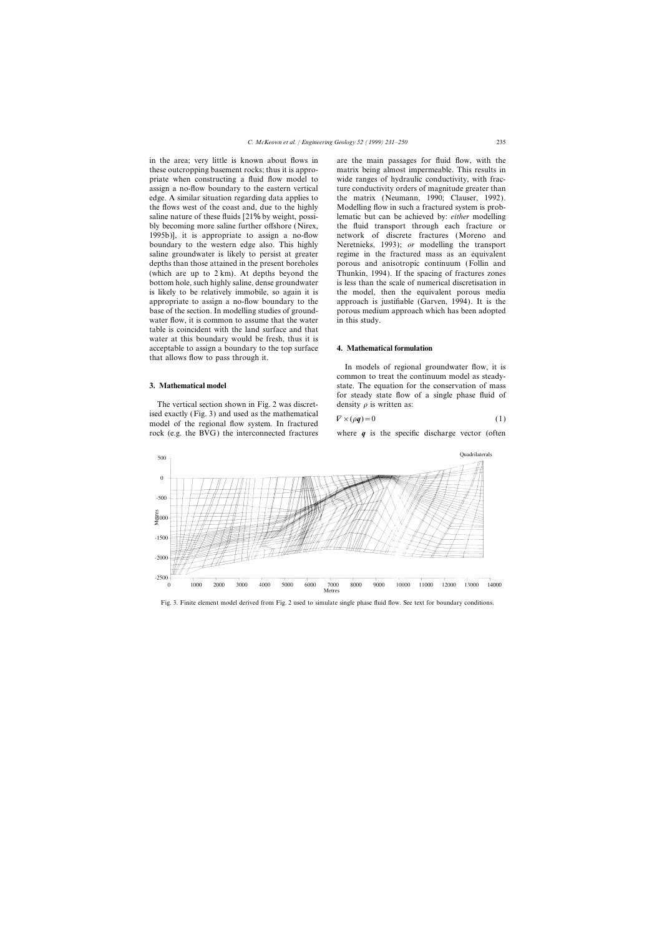these outcropping basement rocks; thus it is appro- matrix being almost impermeable. This results in priate when constructing a fluid flow model to wide ranges of hydraulic conductivity, with fracassign a no-flow boundary to the eastern vertical ture conductivity orders of magnitude greater than edge. A similar situation regarding data applies to the matrix (Neumann, 1990; Clauser, 1992). the flows west of the coast and, due to the highly Modelling flow in such a fractured system is probsaline nature of these fluids [21% by weight, possi- lematic but can be achieved by: *either* modelling bly becoming more saline further offshore (Nirex, the fluid transport through each fracture or 1995b)], it is appropriate to assign a no-flow network of discrete fractures (Moreno and boundary to the western edge also. This highly Neretnieks, 1993); *or* modelling the transport saline groundwater is likely to persist at greater regime in the fractured mass as an equivalent depths than those attained in the present boreholes porous and anisotropic continuum (Follin and (which are up to 2 km). At depths beyond the Thunkin, 1994). If the spacing of fractures zones bottom hole, such highly saline, dense groundwater is less than the scale of numerical discretisation in is likely to be relatively immobile, so again it is the model, then the equivalent porous media appropriate to assign a no-flow boundary to the approach is justifiable (Garven, 1994). It is the base of the section. In modelling studies of ground- porous medium approach which has been adopted water flow, it is common to assume that the water in this study. table is coincident with the land surface and that water at this boundary would be fresh, thus it is acceptable to assign a boundary to the top surface **4. Mathematical formulation** that allows flow to pass through it.

The vertical section shown in Fig. 2 was discret- density  $\rho$  is written as: ised exactly (Fig. 3) and used as the mathematical model of the regional flow system. In fractured rock (e.g. the BVG) the interconnected fractures where *q* is the specific discharge vector (often

in the area; very little is known about flows in are the main passages for fluid flow, with the

In models of regional groundwater flow, it is common to treat the continuum model as steady-**3. Mathematical model** state. The equation for the conservation of mass for steady state flow of a single phase fluid of

$$
\nabla \times (\rho \mathbf{q}) = 0 \tag{1}
$$



Fig. 3. Finite element model derived from Fig. 2 used to simulate single phase fluid flow. See text for boundary conditions.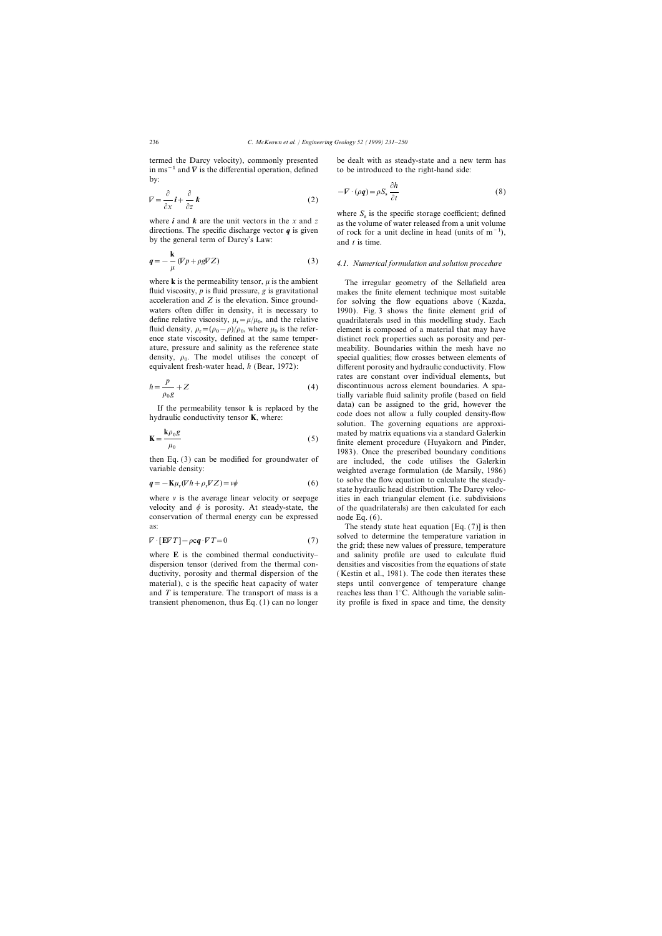termed the Darcy velocity), commonly presented be dealt with as steady-state and a new term has in ms<sup> $-1$ </sup> and  $\nabla$  is the differential operation, defined to be introduced to the right-hand side: by:

$$
\nabla = \frac{\partial}{\partial x} \mathbf{i} + \frac{\partial}{\partial z} \mathbf{k} \tag{2}
$$

by the general term of Darcy's Law: and *t* is time.

$$
q = -\frac{k}{\mu} \left( \nabla p + \rho g \nabla Z \right) \tag{3}
$$

define relative viscosity,  $\mu_r = \mu/\mu$ fluid density,  $\rho_r = (\rho_0 - \rho)/\rho_0$ , where  $\mu$  $r = \frac{(\rho_0 - \rho)/\rho_0}{4 \sigma^2}$ density,  $\rho_0$ . The model utilises the concept of equivalent fresh-water head, h (Bear, 1972):

$$
h = \frac{p}{\rho_0 g} + Z \tag{4}
$$

$$
\mathbf{K} = \frac{\mathbf{k}\rho_0 g}{\mu_0} \tag{5}
$$

$$
\mathbf{q} = -\mathbf{K}\mu_{\rm r}(\nabla h + \rho_{\rm r}\nabla Z) = v\phi\tag{6}
$$

conservation of thermal energy can be expressed node Eq. (6).

$$
\nabla \cdot [\mathbf{E} \nabla T] - \rho c \mathbf{q} \cdot \nabla T = 0 \tag{7}
$$

dispersion tensor (derived from the thermal con- densities and viscosities from the equations of state ductivity, porosity and thermal dispersion of the (Kestin et al., 1981). The code then iterates these material), c is the specific heat capacity of water steps until convergence of temperature change and *T* is temperature. The transport of mass is a reaches less than  $1^{\circ}$ C. Although the variable salintransient phenomenon, thus Eq. (1) can no longer ity profile is fixed in space and time, the density

$$
-\nabla \cdot (\rho \mathbf{q}) = \rho S_s \frac{\partial h}{\partial t} \tag{8}
$$

where  $S<sub>s</sub>$  is the specific storage coefficient; defined where *i* and *k* are the unit vectors in the *x* and *z* as the volume of water released from a unit volume directions. The specific discharge vector *q* is given of rock for a unit decline in head (units of m<sup>-1</sup>) of rock for a unit decline in head (units of m<sup>−1</sup>),

### (V*p*+r*g*V*Z*) (3) *4.1. Numerical formulation and solution procedure*

where **k** is the permeability tensor,  $\mu$  is the ambient The irregular geometry of the Sellafield area fluid viscosity, *p* is fluid pressure, *g* is gravitational makes the finite element technique most suitable acceleration and  $Z$  is the elevation. Since ground- for solving the flow equations above (Kazda, waters often differ in density, it is necessary to 1990). Fig. 3 shows the finite element grid of quadrilaterals used in this modelling study. Each element is composed of a material that may have distinct rock properties such as porosity and perature, pressure and salinity as the reference state meability. Boundaries within the mesh have no special qualities; flow crosses between elements of different porosity and hydraulic conductivity. Flow rates are constant over individual elements, but discontinuous across element boundaries. A spatially variable fluid salinity profile (based on field If the permeability tensor  $\bf{k}$  is replaced by the data) can be assigned to the grid, however the code does not allow a fully coupled density-flow solution. The governing equations are approximated by matrix equations via a standard Galerkin finite element procedure (Huyakorn and Pinder, 1983). Once the prescribed boundary conditions then Eq. (3) can be modified for groundwater of are included, the code utilises the Galerkin variable density:<br>weighted average formulation (de Marsily 1986) weighted average formulation (de Marsily, 1986) to solve the flow equation to calculate the steady*z* state hydraulic head distribution. The Darcy velocwhere  $\nu$  is the average linear velocity or seepage ities in each triangular element (i.e. subdivisions velocity and  $\phi$  is porosity. At steady-state, the of the quadrilaterals) are then calculated for each

as: The steady state heat equation [Eq. (7)] is then solved to determine the temperature variation in **the grid; these new values of pressure, temperature** where  $\bf{E}$  is the combined thermal conductivity- and salinity profile are used to calculate fluid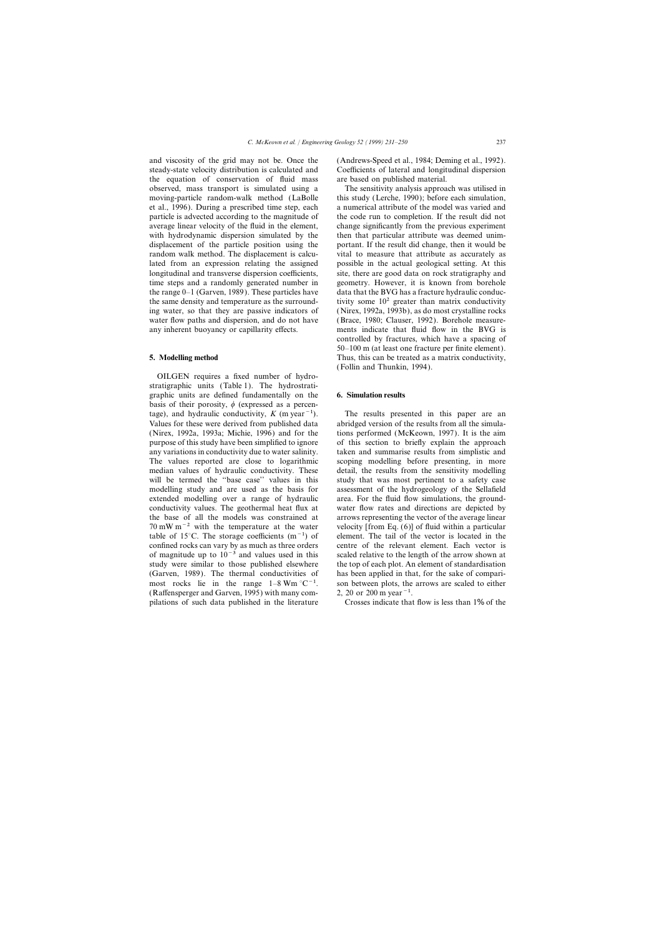and viscosity of the grid may not be. Once the (Andrews-Speed et al., 1984; Deming et al., 1992). steady-state velocity distribution is calculated and Coefficients of lateral and longitudinal dispersion the equation of conservation of fluid mass are based on published material. observed, mass transport is simulated using a The sensitivity analysis approach was utilised in moving-particle random-walk method (LaBolle this study (Lerche, 1990); before each simulation, et al., 1996). During a prescribed time step, each a numerical attribute of the model was varied and particle is advected according to the magnitude of the code run to completion. If the result did not average linear velocity of the fluid in the element, change significantly from the previous experiment with hydrodynamic dispersion simulated by the then that particular attribute was deemed unimdisplacement of the particle position using the portant. If the result did change, then it would be random walk method. The displacement is calcu- vital to measure that attribute as accurately as lated from an expression relating the assigned possible in the actual geological setting. At this longitudinal and transverse dispersion coefficients, site, there are good data on rock stratigraphy and time steps and a randomly generated number in geometry. However, it is known from borehole the range  $0-1$  (Garven, 1989). These particles have data that the BVG has a fracture hydraulic conducthe same density and temperature as the surround-<br>tivity some  $10<sup>2</sup>$  greater than matrix conductivity ing water, so that they are passive indicators of (Nirex, 1992a, 1993b), as do most crystalline rocks water flow paths and dispersion, and do not have (Brace, 1980; Clauser, 1992). Borehole measureany inherent buoyancy or capillarity effects. ments indicate that fluid flow in the BVG is

OILGEN requires a fixed number of hydrostratigraphic units (Table 1). The hydrostratigraphic units are defined fundamentally on the **6. Simulation results** basis of their porosity,  $\phi$  (expressed as a percentage), and hydraulic conductivity,  $K$  (m year<sup>-1</sup>). The results presented in this paper are an Values for these were derived from published data abridged version of the results from all the simula- (Nirex, 1992a, 1993a; Michie, 1996) and for the tions performed (McKeown, 1997). It is the aim purpose of this study have been simplified to ignore of this section to briefly explain the approach any variations in conductivity due to water salinity. taken and summarise results from simplistic and The values reported are close to logarithmic scoping modelling before presenting, in more median values of hydraulic conductivity. These detail, the results from the sensitivity modelling will be termed the "base case" values in this study that was most pertinent to a safety case modelling study and are used as the basis for assessment of the hydrogeology of the Sellafield extended modelling over a range of hydraulic area. For the fluid flow simulations, the groundconductivity values. The geothermal heat flux at water flow rates and directions are depicted by the base of all the models was constrained at arrows representing the vector of the average linear 70 mW m<sup>-2</sup> with the temperature at the water velocity [from Eq. (6)] of fluid within a particular table of 15°C. The storage coefficients  $(m^{-1})$  of element. The tail of the vector is located in the confined rocks can vary by as much as three orders centre of the relevant element. Each vector is of magnitude up to  $10^{-3}$  and values used in this scaled relative to the length of the arrow shown at study were similar to those published elsewhere the top of each plot. An element of standardisation (Garven, 1989). The thermal conductivities of has been applied in that, for the sake of comparimost rocks lie in the range  $1-8$  Wm °C<sup>-1</sup>. son between plots, the arrows are scaled to either (Raffensperger and Garven, 1995) with many com- 2, 20 or 200 m year<sup>-1</sup>. pilations of such data published in the literature Crosses indicate that flow is less than 1% of the

controlled by fractures, which have a spacing of 50–100 m (at least one fracture per finite element). **5. Modelling method** Thus, this can be treated as a matrix conductivity, (Follin and Thunkin, 1994).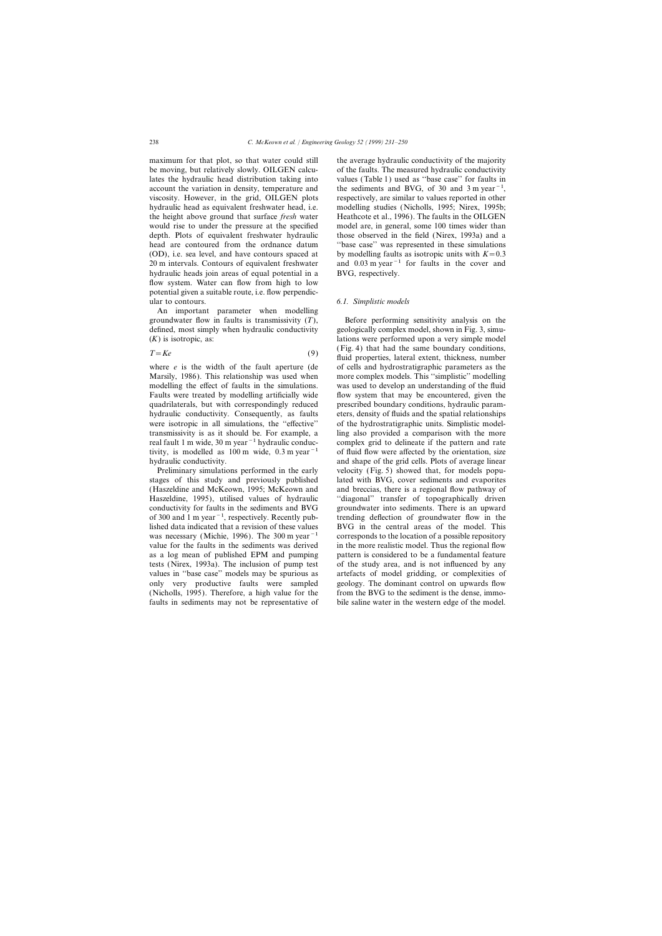be moving, but relatively slowly. OILGEN calcu- of the faults. The measured hydraulic conductivity lates the hydraulic head distribution taking into values (Table 1) used as ''base case'' for faults in account the variation in density, temperature and the sediments and BVG, of 30 and 3 m year<sup>-1</sup>, viscosity. However, in the grid, OILGEN plots respectively, are similar to values reported in other hydraulic head as equivalent freshwater head, i.e. modelling studies (Nicholls, 1995; Nirex, 1995b; the height above ground that surface *fresh* water Heathcote et al., 1996). The faults in the OILGEN would rise to under the pressure at the specified model are, in general, some 100 times wider than depth. Plots of equivalent freshwater hydraulic those observed in the field (Nirex, 1993a) and a head are contoured from the ordnance datum "base case" was represented in these simulations (OD), i.e. sea level, and have contours spaced at by modelling faults as isotropic units with  $K=0.3$ <br>20 m intervals. Contours of equivalent freshwater and 0.03 m year<sup>-1</sup> for faults in the cover and 20 m intervals. Contours of equivalent freshwater hydraulic heads join areas of equal potential in a BVG, respectively. flow system. Water can flow from high to low potential given a suitable route, i.e. flow perpendicular to contours. *6.1. Simplistic models*

An important parameter when modelling groundwater flow in faults is transmissivity  $(T)$ , Before performing sensitivity analysis on the defined, most simply when hydraulic conductivity geologically complex model, shown in Fig. 3, simu-(*K*) is isotropic, as: lations were performed upon a very simple model

$$
T = Ke \tag{9}
$$

Marsily, 1986). This relationship was used when more complex models. This ''simplistic'' modelling modelling the effect of faults in the simulations. was used to develop an understanding of the fluid Faults were treated by modelling artificially wide flow system that may be encountered, given the quadrilaterals, but with correspondingly reduced prescribed boundary conditions, hydraulic paramhydraulic conductivity. Consequently, as faults eters, density of fluids and the spatial relationships were isotropic in all simulations, the "effective" of the hydrostratigraphic units. Simplistic modeltransmissivity is as it should be. For example, a ling also provided a comparison with the more real fault 1 m wide, 30 m year−1 hydraulic conduc- complex grid to delineate if the pattern and rate tivity, is modelled as 100 m wide,  $0.3 \text{ m year}^{-1}$  of fluid flow were affected by the orientation, size hydraulic conductivity. And shape of the grid cells. Plots of average linear

stages of this study and previously published lated with BVG, cover sediments and evaporites (Haszeldine and McKeown, 1995; McKeown and and breccias, there is a regional flow pathway of Haszeldine, 1995), utilised values of hydraulic ''diagonal'' transfer of topographically driven conductivity for faults in the sediments and BVG groundwater into sediments. There is an upward of 300 and 1 m year−1, respectively. Recently pub- trending deflection of groundwater flow in the lished data indicated that a revision of these values BVG in the central areas of the model. This was necessary (Michie, 1996). The 300 m year<sup>-1</sup> corresponds to the location of a possible repository value for the faults in the sediments was derived in the more realistic model. Thus the regional flow as a log mean of published EPM and pumping pattern is considered to be a fundamental feature tests (Nirex, 1993a). The inclusion of pump test of the study area, and is not influenced by any values in ''base case'' models may be spurious as artefacts of model gridding, or complexities of only very productive faults were sampled geology. The dominant control on upwards flow (Nicholls, 1995). Therefore, a high value for the from the BVG to the sediment is the dense, immofaults in sediments may not be representative of bile saline water in the western edge of the model.

maximum for that plot, so that water could still the average hydraulic conductivity of the majority

(Fig. 4) that had the same boundary conditions, *fluid properties*, lateral extent, thickness, number where  $e$  is the width of the fault aperture (de of cells and hydrostratigraphic parameters as the Preliminary simulations performed in the early velocity (Fig. 5) showed that, for models popu-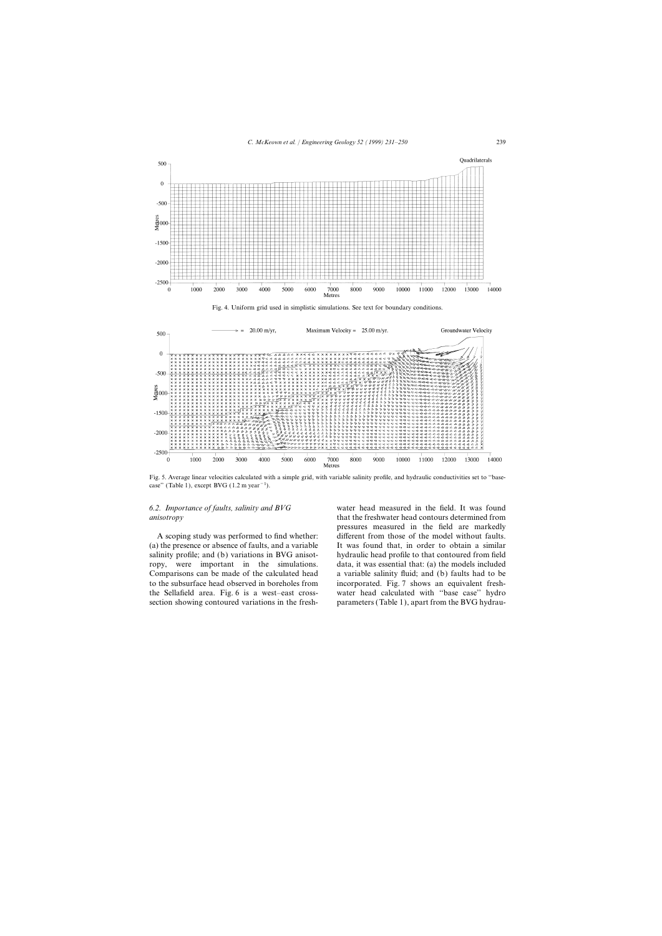

Fig. 5. Average linear velocities calculated with a simple grid, with variable salinity profile, and hydraulic conductivities set to ''basecase" (Table 1), except BVG (1.2 m year<sup>-1</sup>).

section showing contoured variations in the fresh-<br>
parameters (Table 1), apart from the BVG hydrau-

*6.2. Importance of faults, salinity and BVG* water head measured in the field. It was found *anisotropy* that the freshwater head contours determined from pressures measured in the field are markedly A scoping study was performed to find whether: different from those of the model without faults. (a) the presence or absence of faults, and a variable It was found that, in order to obtain a similar salinity profile; and (b) variations in BVG anisot- hydraulic head profile to that contoured from field ropy, were important in the simulations. data, it was essential that: (a) the models included Comparisons can be made of the calculated head a variable salinity fluid; and (b) faults had to be to the subsurface head observed in boreholes from incorporated. Fig. 7 shows an equivalent freshthe Sellafield area. Fig. 6 is a west–east cross- water head calculated with ''base case'' hydro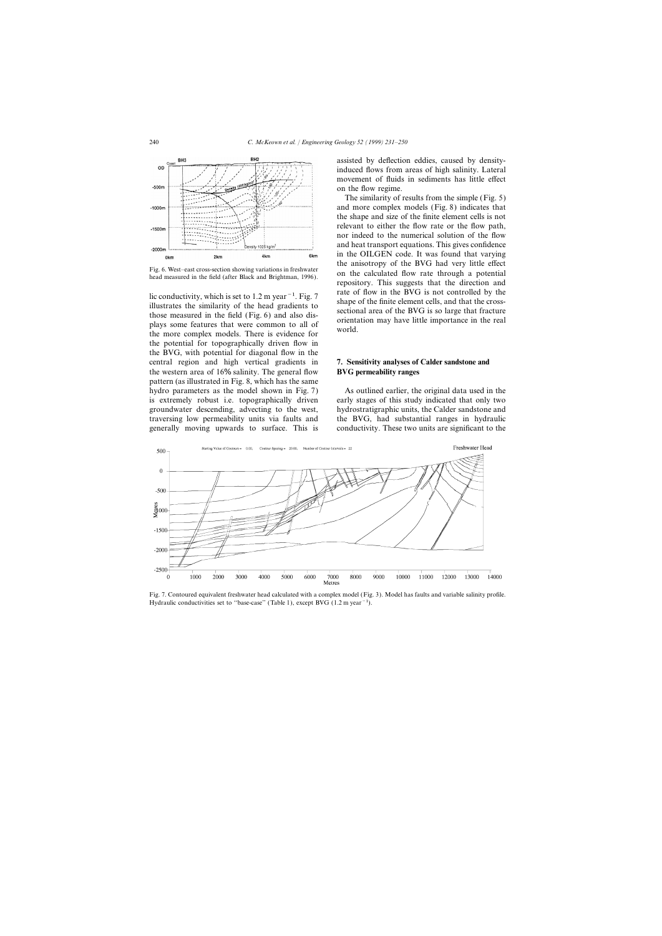

lic conductivity, which is set to 1.2 m year<sup>-1</sup>. Fig. 7<br>illustrates the similarity of the head gradients to<br>those measured in the field (Fig. 6) and also dis-<br>plays some features that were common to all of<br>the more compl the potential for topographically driven flow in the BVG, with potential for diagonal flow in the central region and high vertical gradients in **7. Sensitivity analyses of Calder sandstone and** the western area of 16% salinity. The general flow **BVG permeability ranges** pattern (as illustrated in Fig. 8, which has the same hydro parameters as the model shown in Fig. 7) As outlined earlier, the original data used in the is extremely robust i.e. topographically driven early stages of this study indicated that only two groundwater descending, advecting to the west, hydrostratigraphic units, the Calder sandstone and traversing low permeability units via faults and the BVG, had substantial ranges in hydraulic

assisted by deflection eddies, caused by densityinduced flows from areas of high salinity. Lateral movement of fluids in sediments has little effect on the flow regime.

The similarity of results from the simple (Fig. 5) and more complex models (Fig. 8) indicates that the shape and size of the finite element cells is not relevant to either the flow rate or the flow path, nor indeed to the numerical solution of the flow and heat transport equations. This gives confidence in the OILGEN code. It was found that varying the anisotropy of the BVG had very little effect Fig. 6. West–east cross-section showing variations in freshwater head measured in the field (after Black and Brightman, 1996). This suggests that the direction and repository. This suggests that the direction and

generally moving upwards to surface. This is conductivity. These two units are significant to the



Fig. 7. Contoured equivalent freshwater head calculated with a complex model (Fig. 3). Model has faults and variable salinity profile. Hydraulic conductivities set to "base-case" (Table 1), except BVG (1.2 m year<sup>-1</sup>).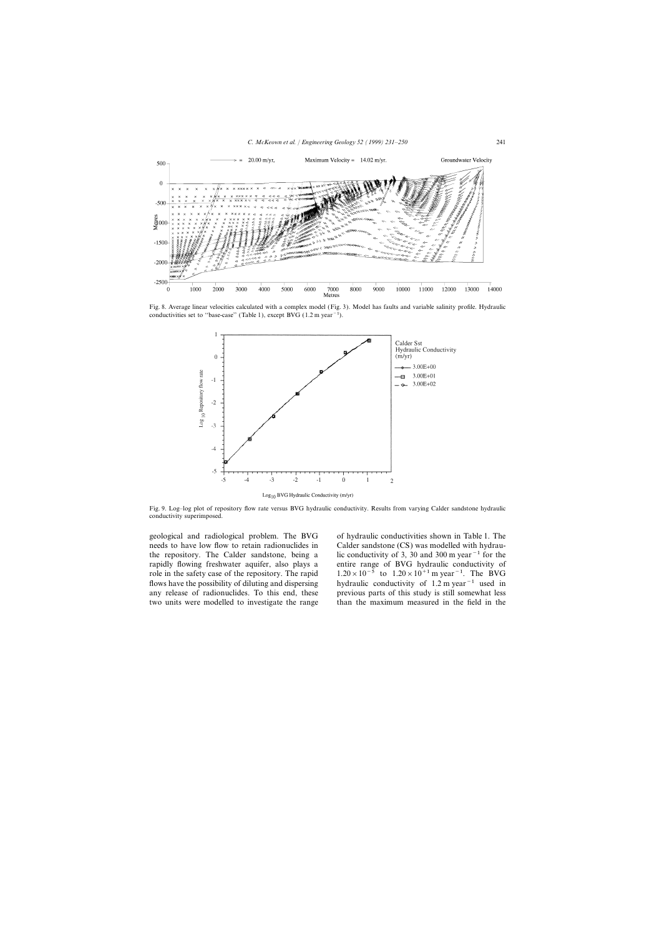

Fig. 8. Average linear velocities calculated with a complex model (Fig. 3). Model has faults and variable salinity profile. Hydraulic conductivities set to "base-case" (Table 1), except BVG (1.2 m year<sup>-1</sup>).



Fig. 9. Log–log plot of repository flow rate versus BVG hydraulic conductivity. Results from varying Calder sandstone hydraulic conductivity superimposed.

needs to have low flow to retain radionuclides in Calder sandstone (CS) was modelled with hydrau-<br>the repository. The Calder sandstone, being a lic conductivity of 3, 30 and 300 m year<sup>-1</sup> for the the repository. The Calder sandstone, being a lic conductivity of 3, 30 and 300 m year<sup>-1</sup> for the rapidly flowing freshwater aquifer, also plays a lettire range of BVG hydraulic conductivity of rapidly flowing freshwater aquifer, also plays a role in the safety case of the repository. The rapid  $1.20 \times 10^{-5}$  to  $1.20 \times 10^{+1}$  m year<sup>-1</sup>. The BVG flows have the possibility of diluting and dispersing hydraulic conductivity of 1.2 m year<sup>-1</sup> used in flows have the possibility of diluting and dispersing any release of radionuclides. To this end, these previous parts of this study is still somewhat less two units were modelled to investigate the range than the maximum measured in the field in the

geological and radiological problem. The BVG of hydraulic conductivities shown in Table 1. The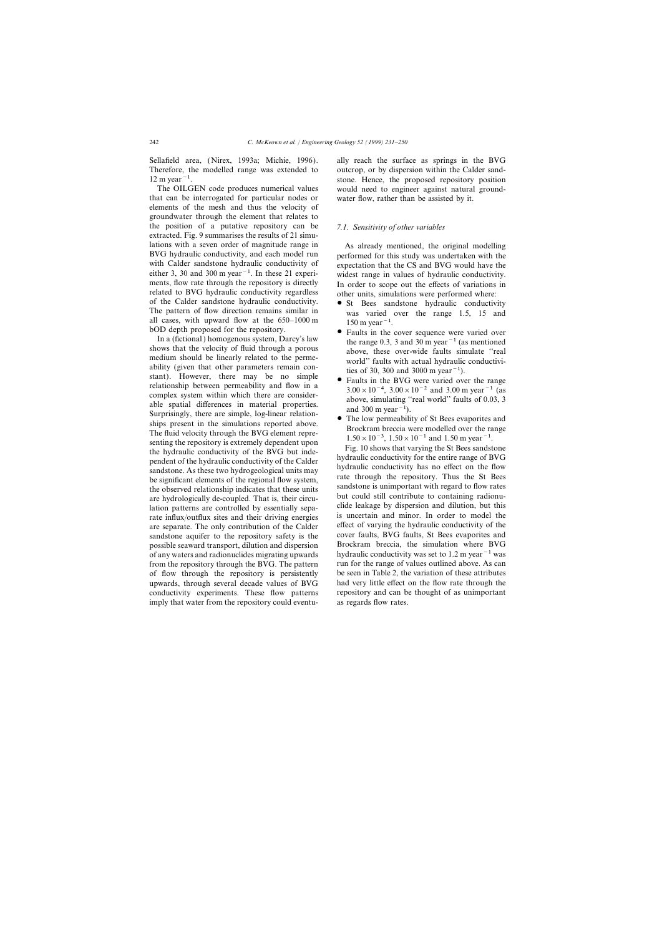Sellafield area, (Nirex, 1993a; Michie, 1996). ally reach the surface as springs in the BVG Therefore, the modelled range was extended to outcrop, or by dispersion within the Calder sand-12 m year<sup>-1</sup>. stone. Hence, the proposed repository position

that can be interrogated for particular nodes or water flow, rather than be assisted by it. elements of the mesh and thus the velocity of groundwater through the element that relates to the position of a putative repository can be *7.1. Sensitivity of other variables* extracted. Fig. 9 summarises the results of 21 simulations with a seven order of magnitude range in As already mentioned, the original modelling BVG hydraulic conductivity, and each model run performed for this study was undertaken with the BVG hydraulic conductivity, and each model run performed for this study was undertaken with the with Calder sandstone hydraulic conductivity of performed for this study was undertaken with the CS and BVG would have the with Calder sandstone hydraulic conductivity of expectation that the CS and BVG would have the either 3, 30 and 300 m year<sup>-1</sup>. In these 21 experi- widest range in values of hydraulic conductivity either 3, 30 and 300 m year<sup>−1</sup>. In these 21 experi-<br>ments, flow rate through the repository is directly and the order to scope out the effects of variations in ments, flow rate through the repository is directly In order to scope out the effects of variations in related to BVG hydraulic conductivity regardless other units simulations were performed where:

related to BVG hydraulic conductivity regardless<br>of the Calder sandstone hydraulic conductivity.<br>The pattern of flow direction remains similar in was varied over the range 1.5, 15 and<br>60D depth proposed for the repository are separate. The only contribution of the Calder effect of varying the hydraulic conductivity of the sandstone aquifer to the repository safety is the cover faults, BVG faults, St Bees evaporites and sandstone aquifer to the repository safety is the cover faults, BVG faults, St Bees evaporites and<br>nossible seaward transport dilution and dispersion Brockram breccia, the simulation where BVG possible seaward transport, dilution and dispersion of any waters and radionuclides migrating upwards hydraulic conductivity was set to 1.2 m year<sup>-1</sup> was from the repository through the BVG. The pattern un for the range of values outlined above. As can from the repository through the BVG. The pattern run for the range of values outlined above. As can<br>of flow through the repository is persistently be seen in Table 2, the variation of these attributes of flow through the repository is persistently upwards, through several decade values of BVG had very little effect on the flow rate through the conductivity experiments. These flow patterns repository and can be thought of as unimportant imply that water from the repository could eventu- as regards flow rates.

The OILGEN code produces numerical values would need to engineer against natural ground-

- 
- 
- 
-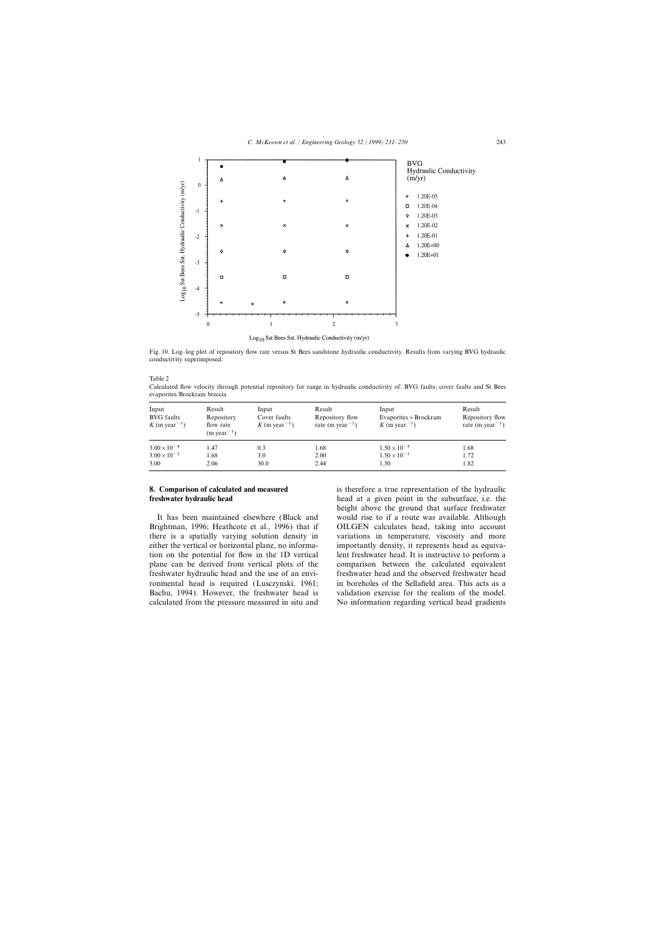

 $Log<sub>10</sub>$  Sst Bees Sst. Hydraulic Conductivity (m/yr)

Fig. 10. Log–log plot of repository flow rate versus St Bees sandstone hydraulic conductivity. Results from varying BVG hydraulic conductivity superimposed.

Table 2

Calculated flow velocity through potential repository for range in hydraulic conductivity of: BVG faults; cover faults and St Bees evaporites/Brockram breccia

| Input<br><b>BVG</b> faults<br>K (m year <sup><math>-1</math></sup> ) | Result<br>Repository<br>flow rate<br>$(m \text{ year}^{-1})$ | Input<br>Cover faults<br>K (m year <sup><math>-1</math></sup> ) | Result<br>Repository flow<br>rate (m year <sup><math>-1</math></sup> ) | Input<br>$Evaporites + Brockram$<br>K (m year <sup>-1</sup> ) | Result<br>Repository flow<br>rate (m year <sup><math>-1</math></sup> ) |
|----------------------------------------------------------------------|--------------------------------------------------------------|-----------------------------------------------------------------|------------------------------------------------------------------------|---------------------------------------------------------------|------------------------------------------------------------------------|
| $3.00 \times 10^{-4}$                                                | l.47                                                         | 0.3                                                             | 1.68                                                                   | $1.50 \times 10^{-3}$                                         | 1.68                                                                   |
| $3.00 \times 10^{-2}$                                                | 1.68                                                         | 3.0                                                             | 2.00                                                                   | $1.50 \times 10^{-1}$                                         | 1.72                                                                   |
| 3.00                                                                 | 2.06                                                         | 30.0                                                            | 2.44                                                                   | 1.50                                                          | 1.82                                                                   |

Brightman, 1996; Heathcote et al., 1996) that if OILGEN calculates head, taking into account there is a spatially varying solution density in variations in temperature, viscosity and more either the vertical or horizontal plane, no informa- importantly density, it represents head as equivation on the potential for flow in the 1D vertical lent freshwater head. It is instructive to perform a plane can be derived from vertical plots of the comparison between the calculated equivalent freshwater hydraulic head and the use of an envi- freshwater head and the observed freshwater head ronmental head is required (Lusczynski, 1961; in boreholes of the Sellafield area. This acts as a Bachu, 1994). However, the freshwater head is validation exercise for the realism of the model. calculated from the pressure measured in situ and No information regarding vertical head gradients

**8. Comparison of calculated and measured** is therefore a true representation of the hydraulic **freshwater hydraulic head** head **head** at a given point in the subsurface, i.e. the height above the ground that surface freshwater It has been maintained elsewhere (Black and would rise to if a route was available. Although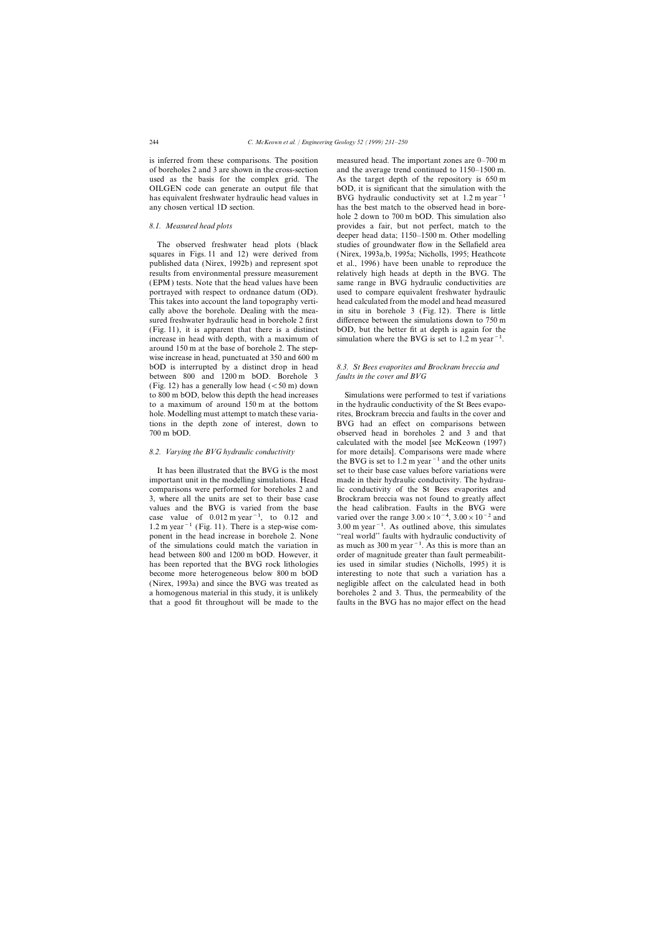of boreholes 2 and 3 are shown in the cross-section and the average trend continued to 1150–1500 m. used as the basis for the complex grid. The As the target depth of the repository is 650 m OILGEN code can generate an output file that bOD, it is significant that the simulation with the has equivalent freshwater hydraulic head values in BVG hydraulic conductivity set at 1.2 m year<sup>-1</sup> any chosen vertical 1D section. has the best match to the observed head in bore-

squares in Figs. 11 and 12) were derived from (Nirex, 1993a,b, 1995a; Nicholls, 1995; Heathcote published data (Nirex, 1992b) and represent spot et al., 1996) have been unable to reproduce the results from environmental pressure measurement relatively high heads at depth in the BVG. The (EPM) tests. Note that the head values have been same range in BVG hydraulic conductivities are portrayed with respect to ordnance datum (OD). used to compare equivalent freshwater hydraulic This takes into account the land topography verti-<br>head calculated from the model and head measured cally above the borehole. Dealing with the mea- in situ in borehole 3 (Fig. 12). There is little sured freshwater hydraulic head in borehole 2 first difference between the simulations down to 750 m (Fig. 11), it is apparent that there is a distinct bOD, but the better fit at depth is again for the increase in head with depth, with a maximum of simulation where the BVG is set to 1.2 m year<sup>-1</sup>. around 150 m at the base of borehole 2. The stepwise increase in head, punctuated at 350 and 600 m bOD is interrupted by a distinct drop in head *8.3. St Bees evaporites and Brockram breccia and* between 800 and 1200 m bOD. Borehole 3 *faults in the cover and BVG* (Fig. 12) has a generally low head  $(< 50 \text{ m})$  down to 800 m bOD, below this depth the head increases Simulations were performed to test if variations to a maximum of around 150 m at the bottom in the hydraulic conductivity of the St Bees evapohole. Modelling must attempt to match these varia-<br>rites, Brockram breccia and faults in the cover and tions in the depth zone of interest, down to BVG had an effect on comparisons between 700 m bOD. observed head in boreholes 2 and 3 and that

important unit in the modelling simulations. Head made in their hydraulic conductivity. The hydraucomparisons were performed for boreholes 2 and lic conductivity of the St Bees evaporites and 3, where all the units are set to their base case Brockram breccia was not found to greatly affect values and the BVG is varied from the base the head calibration. Faults in the BVG were case value of  $0.012 \text{ m year}^{-1}$ , to  $0.12$  and varied over the range  $3.00 \times 10^{-4}$ ,  $3.00 \times 10^{-2}$  and case value of  $0.012 \text{ m year}^{-1}$ , to  $0.12 \text{ and}$ 1.2 m year−1 (Fig. 11). There is a step-wise com- 3.00 m year−1. As outlined above, this simulates ponent in the head increase in borehole 2. None ''real world'' faults with hydraulic conductivity of of the simulations could match the variation in as much as 300 m year<sup>-1</sup>. As this is more than an head between 800 and 1200 m bOD. However, it order of magnitude greater than fault permeabilithas been reported that the BVG rock lithologies ies used in similar studies (Nicholls, 1995) it is become more heterogeneous below 800 m bOD interesting to note that such a variation has a (Nirex, 1993a) and since the BVG was treated as negligible affect on the calculated head in both a homogenous material in this study, it is unlikely boreholes 2 and 3. Thus, the permeability of the that a good fit throughout will be made to the faults in the BVG has no major effect on the head

is inferred from these comparisons. The position measured head. The important zones are 0–700 m hole 2 down to 700 m bOD. This simulation also *8.1. Measured head plots* provides a fair, but not perfect, match to the deeper head data; 1150–1500 m. Other modelling The observed freshwater head plots (black studies of groundwater flow in the Sellafield area

calculated with the model [see McKeown (1997) *8.2. Varying the BVG hydraulic conductivity* for more details]. Comparisons were made where the BVG is set to 1.2 m year<sup> $-1$ </sup> and the other units It has been illustrated that the BVG is the most set to their base case values before variations were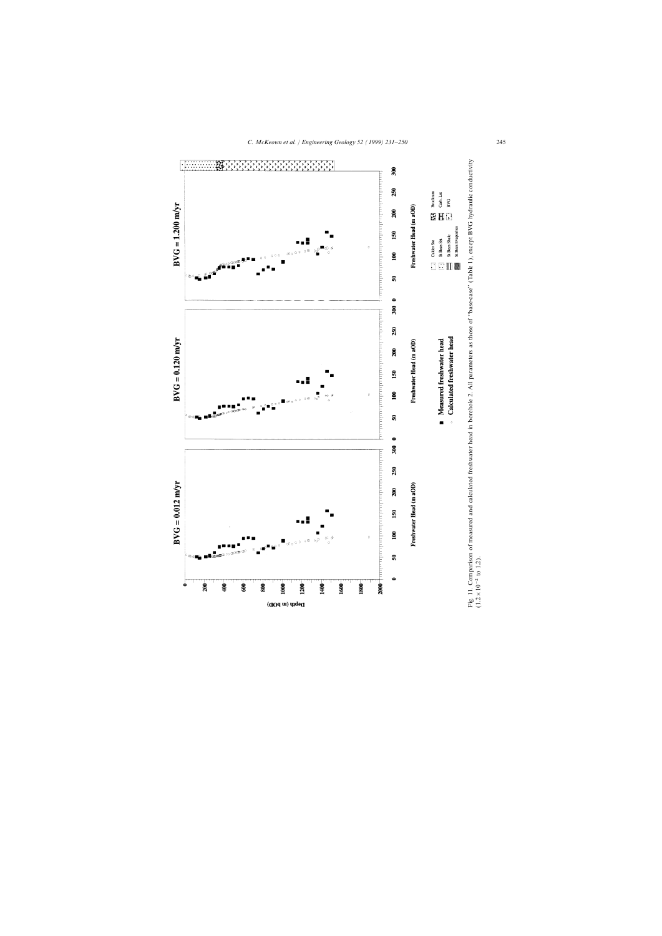

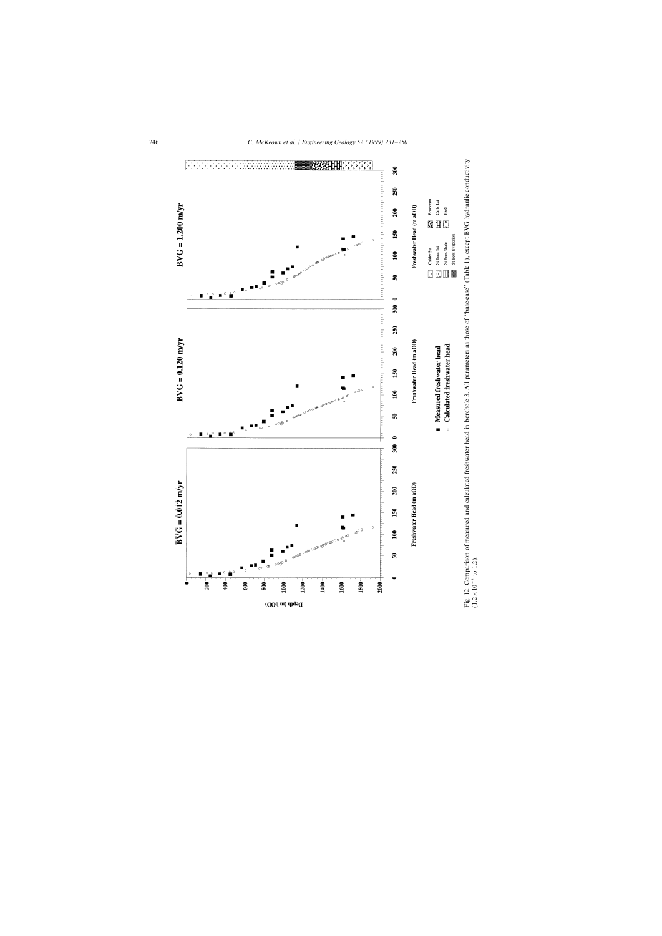

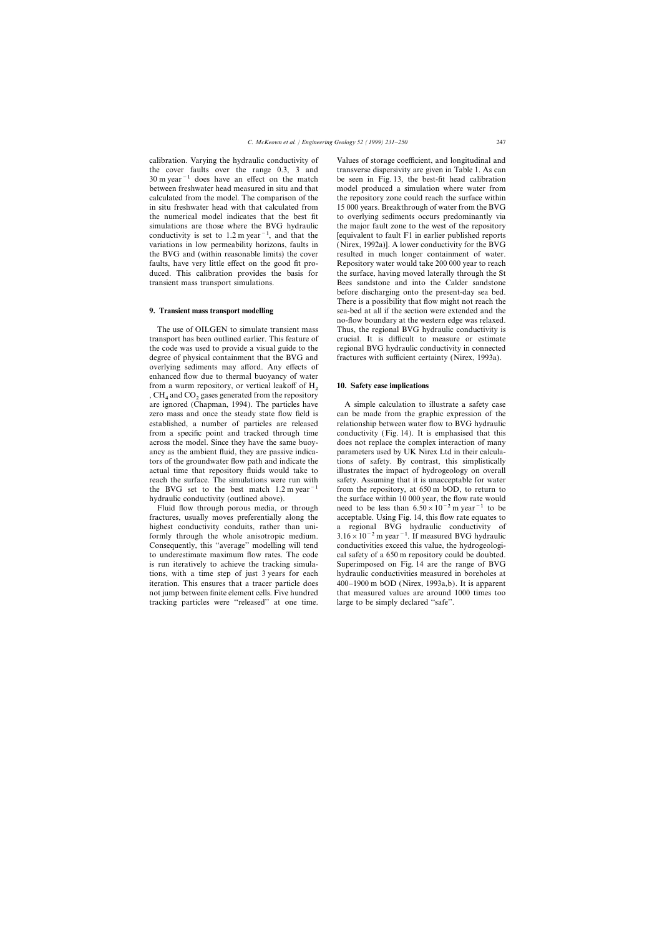calibration. Varying the hydraulic conductivity of Values of storage coefficient, and longitudinal and the cover faults over the range 0.3, 3 and transverse dispersivity are given in Table 1. As can 30 m year−1 does have an effect on the match be seen in Fig. 13, the best-fit head calibration between freshwater head measured in situ and that model produced a simulation where water from calculated from the model. The comparison of the the repository zone could reach the surface within in situ freshwater head with that calculated from 15 000 years. Breakthrough of water from the BVG the numerical model indicates that the best fit to overlying sediments occurs predominantly via simulations are those where the BVG hydraulic the major fault zone to the west of the repository conductivity is set to 1.2 m year<sup>-1</sup>, and that the [equivalent to fault F1 in earlier published reports variations in low permeability horizons, faults in (Nirex, 1992a)]. A lower conductivity for the BVG the BVG and (within reasonable limits) the cover resulted in much longer containment of water. faults, have very little effect on the good fit pro- Repository water would take 200 000 year to reach duced. This calibration provides the basis for the surface, having moved laterally through the St transient mass transport simulations. Bees sandstone and into the Calder sandstone

transport has been outlined earlier. This feature of crucial. It is difficult to measure or estimate the code was used to provide a visual guide to the regional BVG hydraulic conductivity in connected degree of physical containment that the BVG and fractures with sufficient certainty (Nirex, 1993a). overlying sediments may afford. Any effects of enhanced flow due to thermal buoyancy of water from a warm repository, or vertical leakoff of  $H<sub>2</sub>$  **10. Safety case implications** ,  $CH<sub>4</sub>$  and  $CO<sub>2</sub>$  gases generated from the repository are ignored (Chapman, 1994). The particles have A simple calculation to illustrate a safety case zero mass and once the steady state flow field is can be made from the graphic expression of the established, a number of particles are released relationship between water flow to BVG hydraulic from a specific point and tracked through time conductivity (Fig. 14). It is emphasised that this across the model. Since they have the same buoy- does not replace the complex interaction of many ancy as the ambient fluid, they are passive indica-<br>
parameters used by UK Nirex Ltd in their calculators of the groundwater flow path and indicate the tions of safety. By contrast, this simplistically actual time that repository fluids would take to illustrates the impact of hydrogeology on overall reach the surface. The simulations were run with safety. Assuming that it is unacceptable for water the BVG set to the best match 1.2 m year<sup>-1</sup> from the repository, at 650 m bOD, to return to hydraulic conductivity (outlined above). the surface within 10 000 year, the flow rate would

fractures, usually moves preferentially along the acceptable. Using Fig. 14, this flow rate equates to highest conductivity conduits, rather than uni- a regional BVG hydraulic conductivity of formly through the whole anisotropic medium.  $3.16 \times 10^{-2}$  m year<sup>-1</sup>. If measured BVG hydraulic Consequently, this ''average'' modelling will tend conductivities exceed this value, the hydrogeologito underestimate maximum flow rates. The code cal safety of a 650 m repository could be doubted. is run iteratively to achieve the tracking simula- Superimposed on Fig. 14 are the range of BVG tions, with a time step of just 3 years for each hydraulic conductivities measured in boreholes at iteration. This ensures that a tracer particle does 400–1900 m bOD (Nirex, 1993a,b). It is apparent not jump between finite element cells. Five hundred that measured values are around 1000 times too tracking particles were ''released'' at one time. large to be simply declared ''safe''.

before discharging onto the present-day sea bed. There is a possibility that flow might not reach the **9. Transient mass transport modelling** sea-bed at all if the section were extended and the no-flow boundary at the western edge was relaxed. The use of OILGEN to simulate transient mass Thus, the regional BVG hydraulic conductivity is

Fluid flow through porous media, or through need to be less than  $6.50 \times 10^{-2}$  m year<sup>-1</sup> to be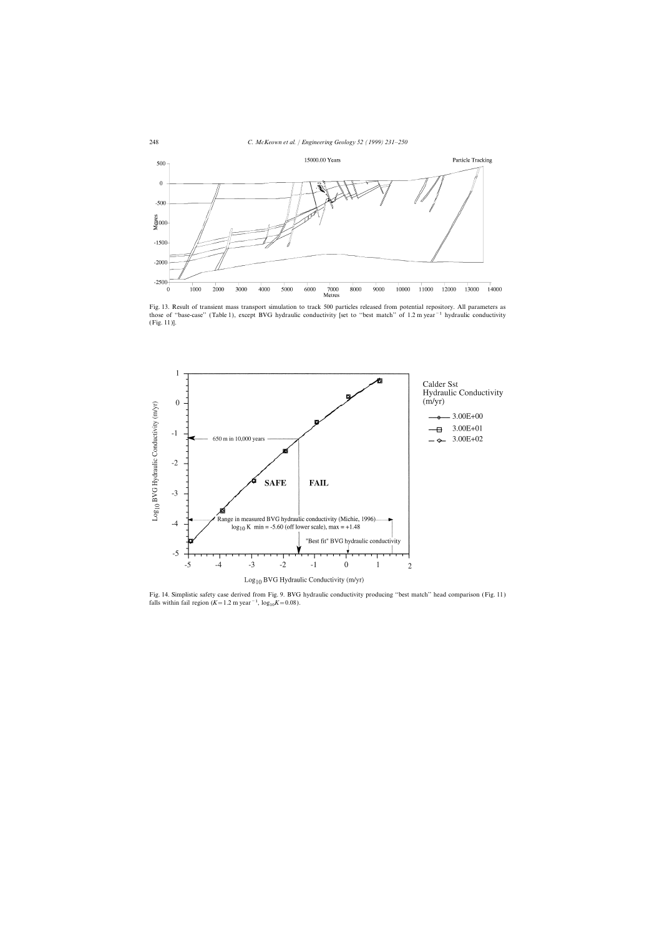

Fig. 13. Result of transient mass transport simulation to track 500 particles released from potential repository. All parameters as those of ''base-case'' (Table 1), except BVG hydraulic conductivity [set to ''best match'' of 1.2 m year−1 hydraulic conductivity (Fig. 11)].



Fig. 14. Simplistic safety case derived from Fig. 9. BVG hydraulic conductivity producing ''best match'' head comparison (Fig. 11) falls within fail region ( $K=1.2$  m year<sup>-1</sup>, log<sub>10</sub> $K=0.08$ ).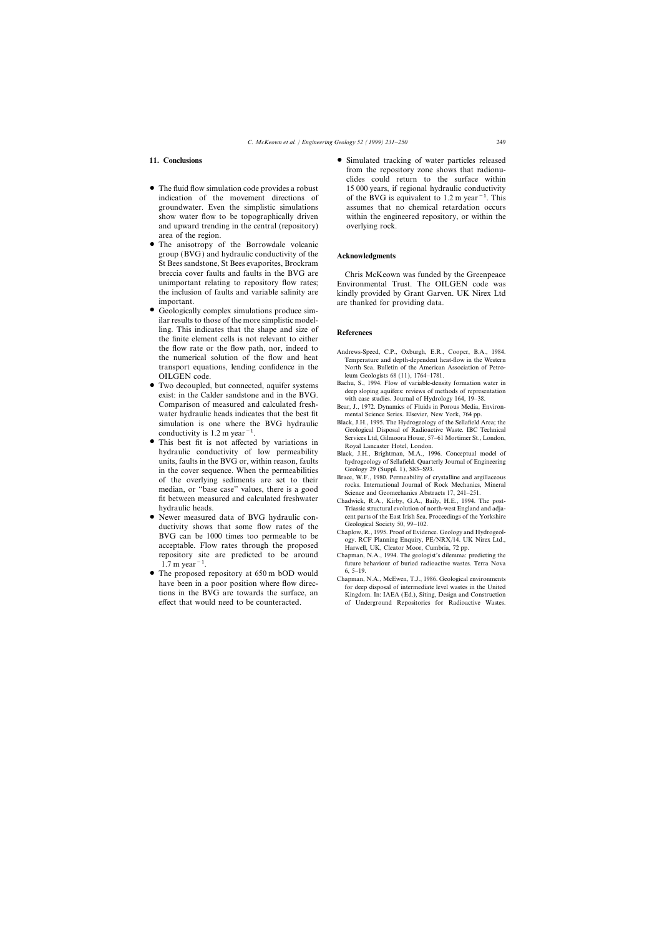- and upward trending in the central (repository) overlying rock. area of the region.
- The anisotropy of the Borrowdale volcanic group (BVG) and hydraulic conductivity of the **Acknowledgments** St Bees sandstone, St Bees evaporites, Brockram breccia cover faults and faults in the BVG are<br>
unimportant relating to repository flow rates;<br>
Environmental Trust. The OILGEN code was
- Geologically complex simulations produce similar results to those of the more simplistic modelling. This indicates that the shape and size of **References** the finite element cells is not relevant to either the flow rate or the flow path, nor, indeed to<br>the numerical solution of the flow and heat Temperature and depth-dependent heat-flow in the Western<br>transport equations, lending confidence in the North Sea. Bulletin of the OILGEN code.<br>
Two decoupled but connected aguifer systems<br>
Bachu, S., 1994. Flow of variable-density formation water in
- Two decoupled, but connected, aquifer systems<br>exist: in the Calder sandstone and in the BVG.<br>Comparison of measured and calculated fresh-<br>Rear I 1972 Dynamics of Fluids in Porous Media Fuvironwater hydraulic heads indicates that the best fit mental Science Series. Elsevier, New York, 764 pp.
- conductivity is 1.2 m year<sup>-1</sup>.<br>
 This best fit is not affected by variations in<br>
hydraulic conductivity of low permeability<br>
in Black, J.H., Brightman, M.A., 1996. Conceptual model of<br>
units, faults in the BVG or, within in the cover sequence. When the permeabilities Geology 29 (Suppl. 1), S83–S93.<br>
of the overlying sediments are set to their Brace, W.F., 1980. Permeability of crystalline and argillaceous of the overlying sediments are set to their<br>median, or "base case" values, there is a good<br>fit between measured and calculated freshwater<br>hydraulic heads.<br>Triassic structural evolution of north-west England and adja-<br>measu
- ductivity shows that some flow rates of the<br>BVG can be 1000 times too permeable to be<br>acceptable. Flow rates through the proposed<br>repository site are predicted to be around the chapman, N.A., 1994. The geologist's dilemma:
- The proposed repository at 650 m bOD would<br>hapman, N.A., McEwen, T.J., 1986. Geological environments<br>for deep disposal of intermediate level wastes in the United<br>tions in the BVG are towards the surface, an<br>kingdom In:

**11. Conclusions** \$ Simulated tracking of water particles released from the repository zone shows that radionuclides could return to the surface within • The fluid flow simulation code provides a robust 15 000 years, if regional hydraulic conductivity indication of the movement directions of of the BVG is equivalent to 1.2 m year<sup> $-1$ </sup>. This groundwater. Even the simplistic simulations assumes that no chemical retardation occurs show water flow to be topographically driven within the engineered repository, or within the

unimportant relating to repository flow rates; <br>the inclusion of faults and variable salinity are stindly provided by Grant Garven TIK Nirex Ltd the inclusion of faults and variable salinity are <br>inclusion of faults and variable salinity are knowld by Grant Garven. UK Nirex Ltd<br>are thanked for providing data are thanked for providing data.

- North Sea. Bulletin of the American Association of Petro-
- 
- Bear, J., 1972. Dynamics of Fluids in Porous Media, Environ-
- simulation is one where the BVG hydraulic Black, J.H., 1995. The Hydrogeology of the Sellafield Area; the simulativity is 1.2 m year<sup>-1</sup> Geological Disposal of Radioactive Waste. IBC Technical
	- hydrogeology of Sellafield. Quarterly Journal of Engineering
	-
- Triassic structural evolution of north-west England and adja-• Newer measured data of BVG hydraulic con-<br>ductivity shows that some flow rates of the Geological Society 50, 99–102.
	-
	- Chapman, N.A., 1994. The geologist's dilemma: predicting the 1.7 m year<sup>-1</sup>.<br>
	Future behaviour of buried radioactive wastes. Terra Nova
	- Kingdom. In: IAEA (Ed.), Siting, Design and Construction effect that would need to be counteracted.  $\qquad \qquad$  of Underground Repositories for Radioactive Wastes.